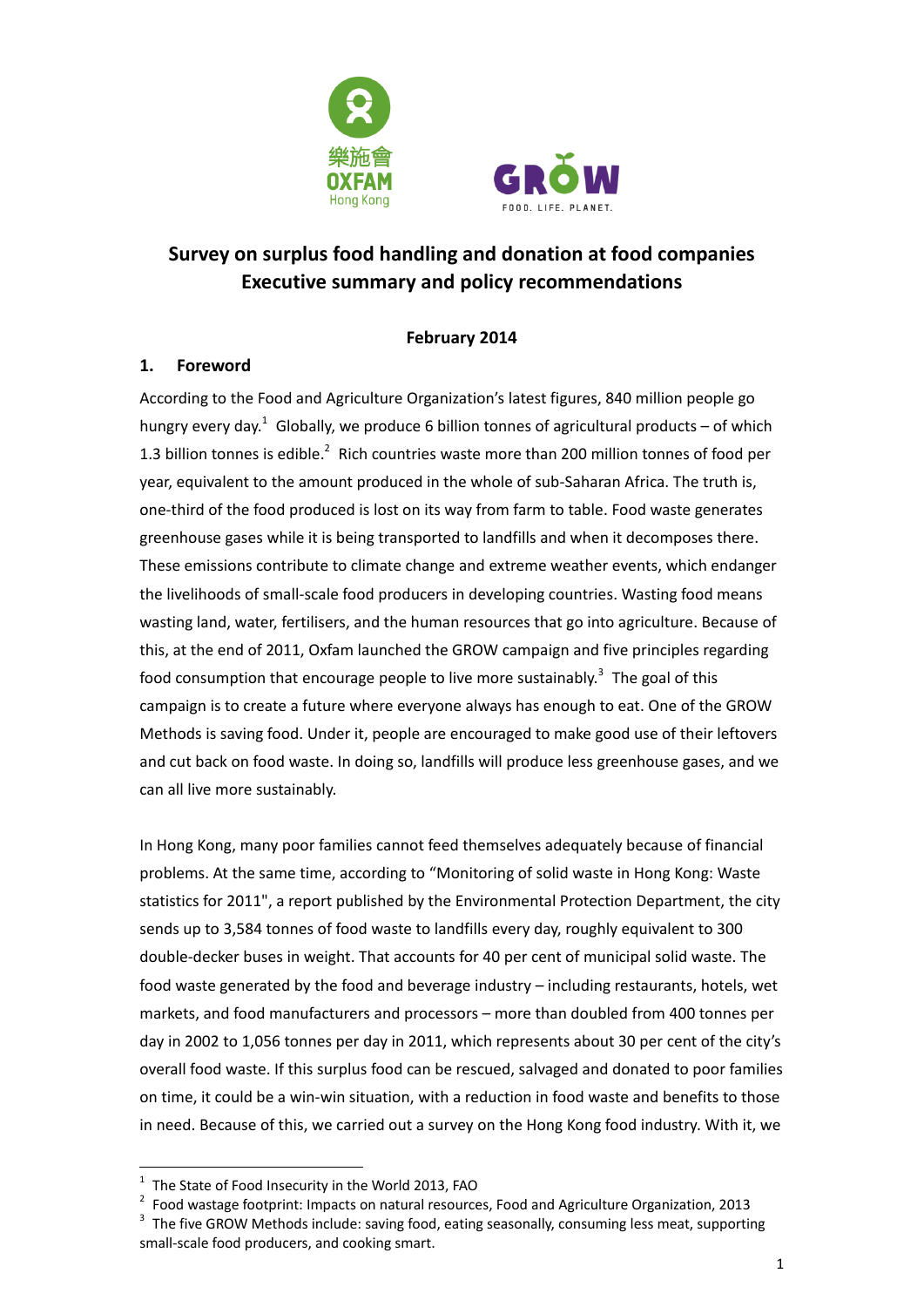



# **Survey on surplus food handling and donation at food companies Executive summary and policy recommendations**

#### **February 2014**

#### **1. Foreword**

According to the Food and Agriculture Organization's latest figures, 840 million people go hungry every day.<sup>1</sup> Globally, we produce 6 billion tonnes of agricultural products – of which 1.3 billion tonnes is edible.<sup>2</sup> Rich countries waste more than 200 million tonnes of food per year, equivalent to the amount produced in the whole of sub-Saharan Africa. The truth is, one-third of the food produced is lost on its way from farm to table. Food waste generates greenhouse gases while it is being transported to landfills and when it decomposes there. These emissions contribute to climate change and extreme weather events, which endanger the livelihoods of small-scale food producers in developing countries. Wasting food means wasting land, water, fertilisers, and the human resources that go into agriculture. Because of this, at the end of 2011, Oxfam launched the GROW campaign and five principles regarding food consumption that encourage people to live more sustainably.<sup>3</sup> The goal of this campaign is to create a future where everyone always has enough to eat. One of the GROW Methods is saving food. Under it, people are encouraged to make good use of their leftovers and cut back on food waste. In doing so, landfills will produce less greenhouse gases, and we can all live more sustainably.

In Hong Kong, many poor families cannot feed themselves adequately because of financial problems. At the same time, according to "Monitoring of solid waste in Hong Kong: Waste statistics for 2011", a report published by the Environmental Protection Department, the city sends up to 3,584 tonnes of food waste to landfills every day, roughly equivalent to 300 double-decker buses in weight. That accounts for 40 per cent of municipal solid waste. The food waste generated by the food and beverage industry – including restaurants, hotels, wet markets, and food manufacturers and processors – more than doubled from 400 tonnes per day in 2002 to 1,056 tonnes per day in 2011, which represents about 30 per cent of the city's overall food waste. If this surplus food can be rescued, salvaged and donated to poor families on time, it could be a win-win situation, with a reduction in food waste and benefits to those in need. Because of this, we carried out a survey on the Hong Kong food industry. With it, we

-

 $1$  The State of Food Insecurity in the World 2013, FAO

<sup>&</sup>lt;sup>2</sup> Food wastage footprint: Impacts on natural resources, Food and Agriculture Organization, 2013

 $3$  The five GROW Methods include: saving food, eating seasonally, consuming less meat, supporting small-scale food producers, and cooking smart.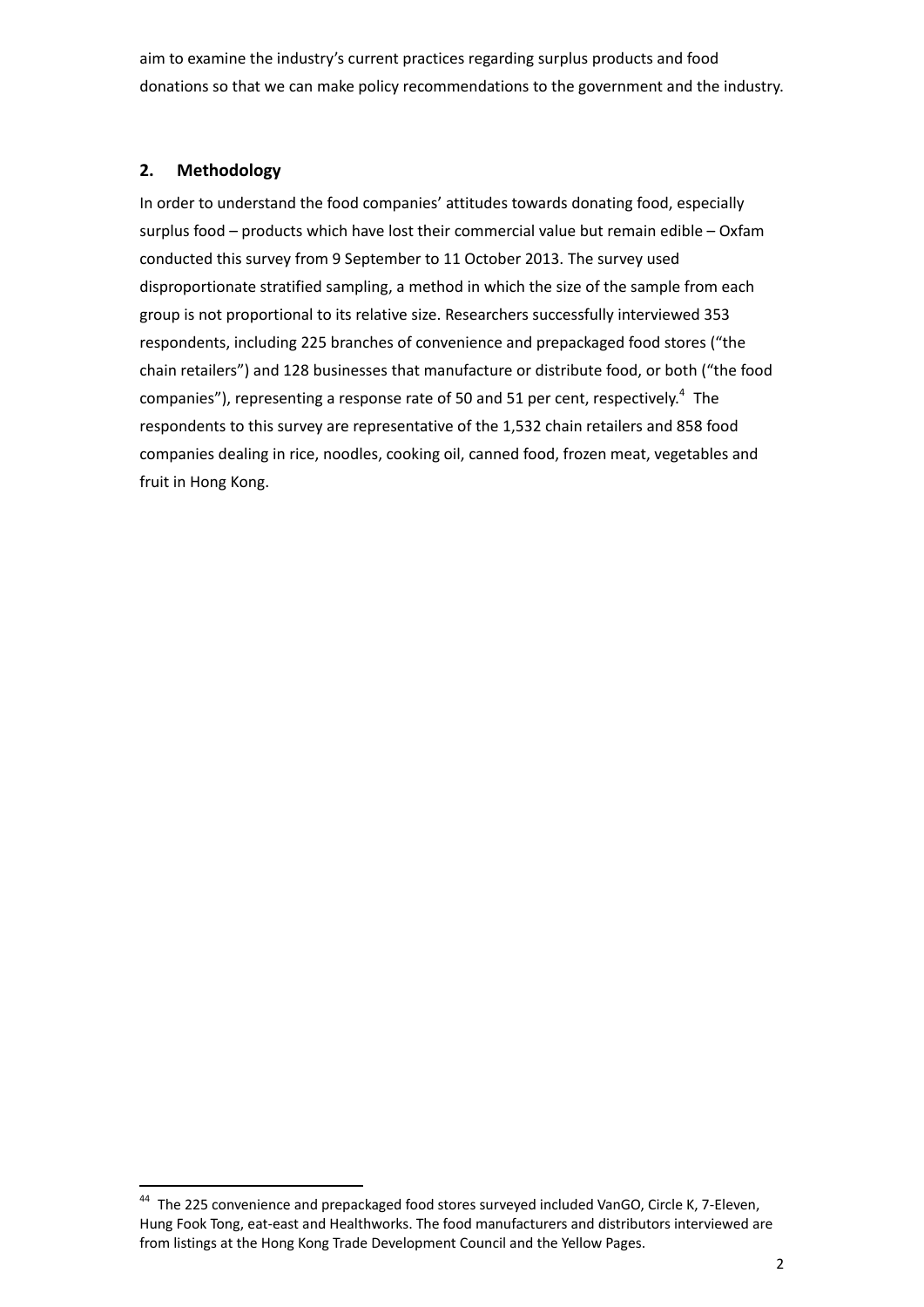aim to examine the industry's current practices regarding surplus products and food donations so that we can make policy recommendations to the government and the industry.

#### **2. Methodology**

-

In order to understand the food companies' attitudes towards donating food, especially surplus food – products which have lost their commercial value but remain edible – Oxfam conducted this survey from 9 September to 11 October 2013. The survey used disproportionate stratified sampling, a method in which the size of the sample from each group is not proportional to its relative size. Researchers successfully interviewed 353 respondents, including 225 branches of convenience and prepackaged food stores ("the chain retailers") and 128 businesses that manufacture or distribute food, or both ("the food companies"), representing a response rate of 50 and 51 per cent, respectively.<sup>4</sup> The respondents to this survey are representative of the 1,532 chain retailers and 858 food companies dealing in rice, noodles, cooking oil, canned food, frozen meat, vegetables and fruit in Hong Kong.

<sup>&</sup>lt;sup>44</sup> The 225 convenience and prepackaged food stores surveyed included VanGO, Circle K, 7-Eleven, Hung Fook Tong, eat-east and Healthworks. The food manufacturers and distributors interviewed are from listings at the Hong Kong Trade Development Council and the Yellow Pages.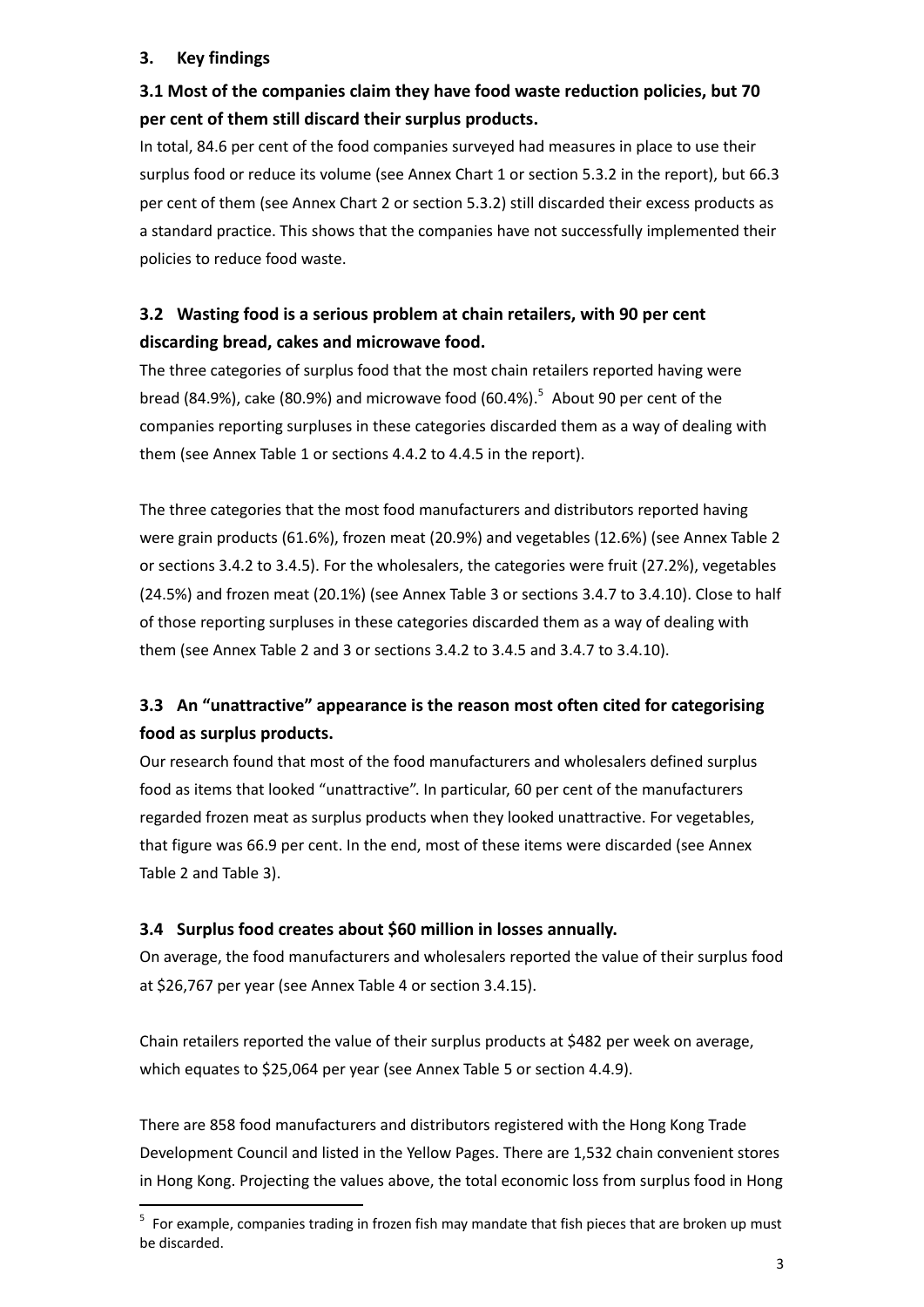#### **3. Key findings**

-

## **3.1 Most of the companies claim they have food waste reduction policies, but 70 per cent of them still discard their surplus products.**

In total, 84.6 per cent of the food companies surveyed had measures in place to use their surplus food or reduce its volume (see Annex Chart 1 or section 5.3.2 in the report), but 66.3 per cent of them (see Annex Chart 2 or section 5.3.2) still discarded their excess products as a standard practice. This shows that the companies have not successfully implemented their policies to reduce food waste.

# **3.2 Wasting food is a serious problem at chain retailers, with 90 per cent discarding bread, cakes and microwave food.**

The three categories of surplus food that the most chain retailers reported having were bread (84.9%), cake (80.9%) and microwave food (60.4%). 5 About 90 per cent of the companies reporting surpluses in these categories discarded them as a way of dealing with them (see Annex Table 1 or sections 4.4.2 to 4.4.5 in the report).

The three categories that the most food manufacturers and distributors reported having were grain products (61.6%), frozen meat (20.9%) and vegetables (12.6%) (see Annex Table 2 or sections 3.4.2 to 3.4.5). For the wholesalers, the categories were fruit (27.2%), vegetables (24.5%) and frozen meat (20.1%) (see Annex Table 3 or sections 3.4.7 to 3.4.10). Close to half of those reporting surpluses in these categories discarded them as a way of dealing with them (see Annex Table 2 and 3 or sections 3.4.2 to 3.4.5 and 3.4.7 to 3.4.10).

# **3.3 An "unattractive" appearance is the reason most often cited for categorising food as surplus products.**

Our research found that most of the food manufacturers and wholesalers defined surplus food as items that looked "unattractive". In particular, 60 per cent of the manufacturers regarded frozen meat as surplus products when they looked unattractive. For vegetables, that figure was 66.9 per cent. In the end, most of these items were discarded (see Annex Table 2 and Table 3).

#### **3.4 Surplus food creates about \$60 million in losses annually.**

On average, the food manufacturers and wholesalers reported the value of their surplus food at \$26,767 per year (see Annex Table 4 or section 3.4.15).

Chain retailers reported the value of their surplus products at \$482 per week on average, which equates to \$25,064 per year (see Annex Table 5 or section 4.4.9).

There are 858 food manufacturers and distributors registered with the Hong Kong Trade Development Council and listed in the Yellow Pages. There are 1,532 chain convenient stores in Hong Kong. Projecting the values above, the total economic loss from surplus food in Hong

<sup>5</sup> For example, companies trading in frozen fish may mandate that fish pieces that are broken up must be discarded.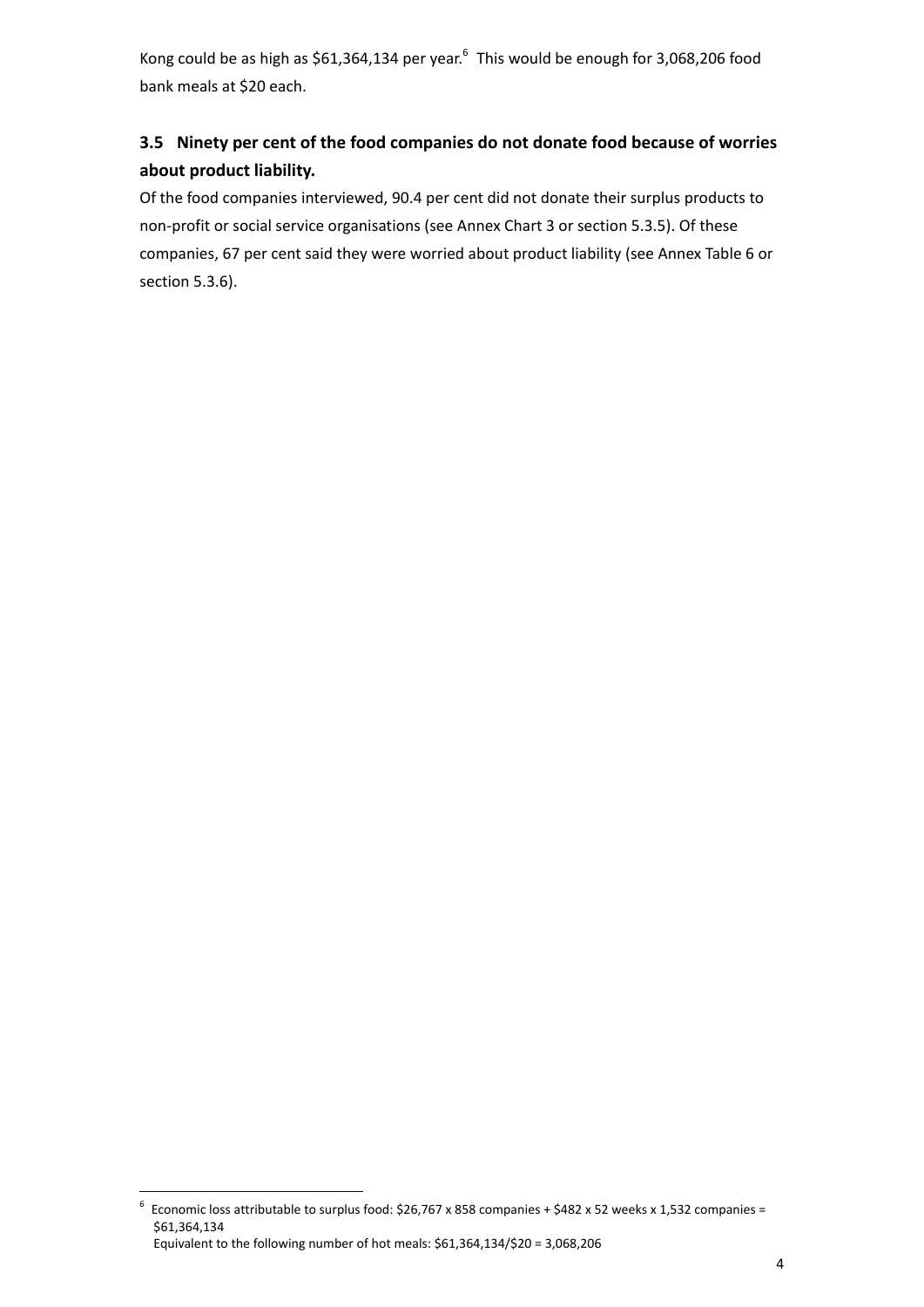Kong could be as high as \$61,364,134 per year.<sup>6</sup> This would be enough for 3,068,206 food bank meals at \$20 each.

# **3.5 Ninety per cent of the food companies do not donate food because of worries about product liability.**

Of the food companies interviewed, 90.4 per cent did not donate their surplus products to non-profit or social service organisations (see Annex Chart 3 or section 5.3.5). Of these companies, 67 per cent said they were worried about product liability (see Annex Table 6 or section 5.3.6).

<sup>-</sup><sup>6</sup> Economic loss attributable to surplus food: \$26,767 x 858 companies + \$482 x 52 weeks x 1,532 companies = \$61,364,134 Equivalent to the following number of hot meals: \$61,364,134/\$20 = 3,068,206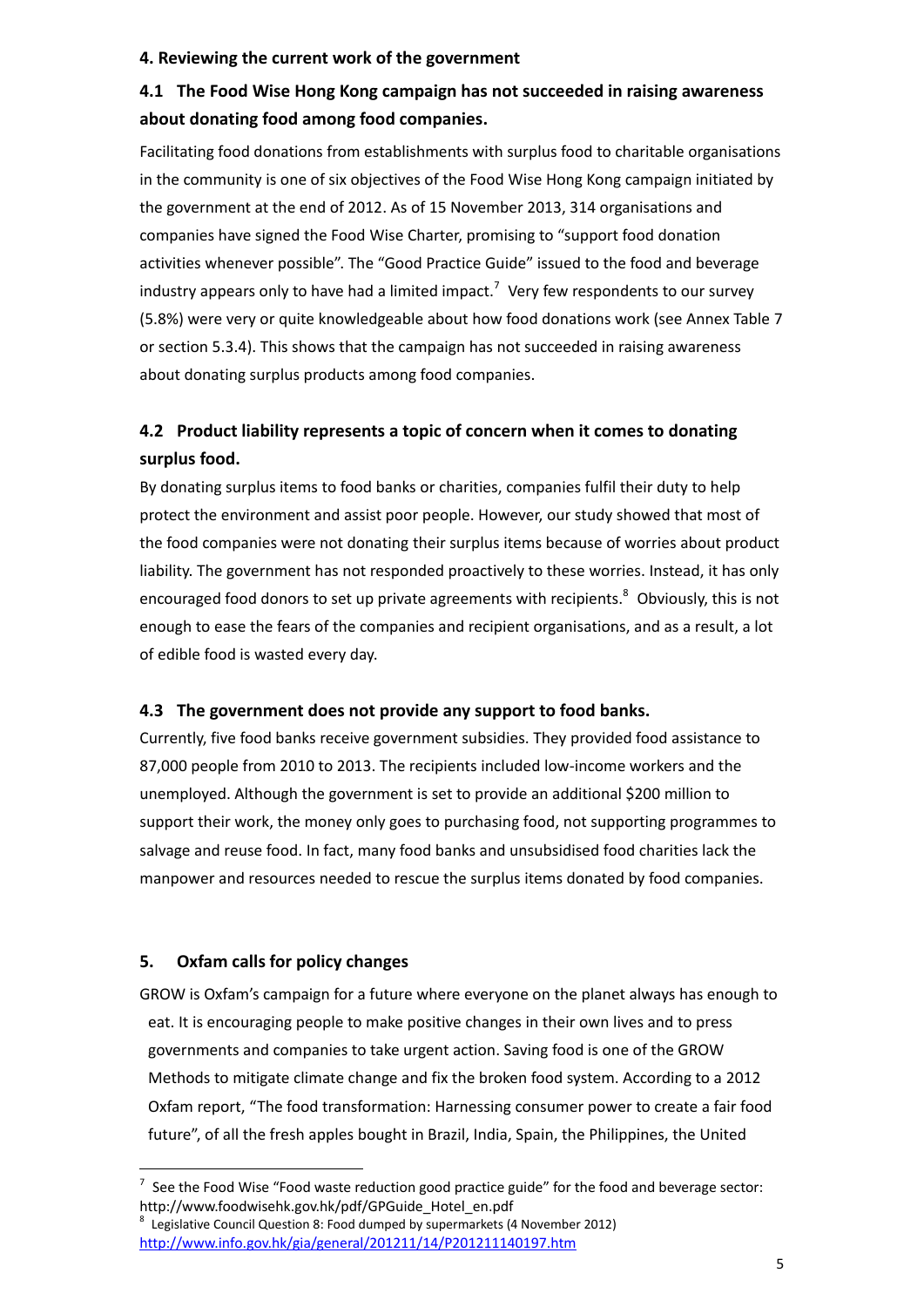#### **4. Reviewing the current work of the government**

## **4.1 The Food Wise Hong Kong campaign has not succeeded in raising awareness about donating food among food companies.**

Facilitating food donations from establishments with surplus food to charitable organisations in the community is one of six objectives of the Food Wise Hong Kong campaign initiated by the government at the end of 2012. As of 15 November 2013, 314 organisations and companies have signed the Food Wise Charter, promising to "support food donation activities whenever possible". The "Good Practice Guide" issued to the food and beverage industry appears only to have had a limited impact.<sup>7</sup> Very few respondents to our survey (5.8%) were very or quite knowledgeable about how food donations work (see Annex Table 7 or section 5.3.4). This shows that the campaign has not succeeded in raising awareness about donating surplus products among food companies.

# **4.2 Product liability represents a topic of concern when it comes to donating surplus food.**

By donating surplus items to food banks or charities, companies fulfil their duty to help protect the environment and assist poor people. However, our study showed that most of the food companies were not donating their surplus items because of worries about product liability. The government has not responded proactively to these worries. Instead, it has only encouraged food donors to set up private agreements with recipients.<sup>8</sup> Obviously, this is not enough to ease the fears of the companies and recipient organisations, and as a result, a lot of edible food is wasted every day.

#### **4.3 The government does not provide any support to food banks.**

Currently, five food banks receive government subsidies. They provided food assistance to 87,000 people from 2010 to 2013. The recipients included low-income workers and the unemployed. Although the government is set to provide an additional \$200 million to support their work, the money only goes to purchasing food, not supporting programmes to salvage and reuse food. In fact, many food banks and unsubsidised food charities lack the manpower and resources needed to rescue the surplus items donated by food companies.

#### **5. Oxfam calls for policy changes**

-

GROW is Oxfam's campaign for a future where everyone on the planet always has enough to eat. It is encouraging people to make positive changes in their own lives and to press governments and companies to take urgent action. Saving food is one of the GROW Methods to mitigate climate change and fix the broken food system. According to a 2012 Oxfam report, "The food transformation: Harnessing consumer power to create a fair food future", of all the fresh apples bought in Brazil, India, Spain, the Philippines, the United

 $7$  See the Food Wise "Food waste reduction good practice guide" for the food and beverage sector: http://www.foodwisehk.gov.hk/pdf/GPGuide\_Hotel\_en.pdf

 $8$  Legislative Council Question 8: Food dumped by supermarkets (4 November 2012) <http://www.info.gov.hk/gia/general/201211/14/P201211140197.htm>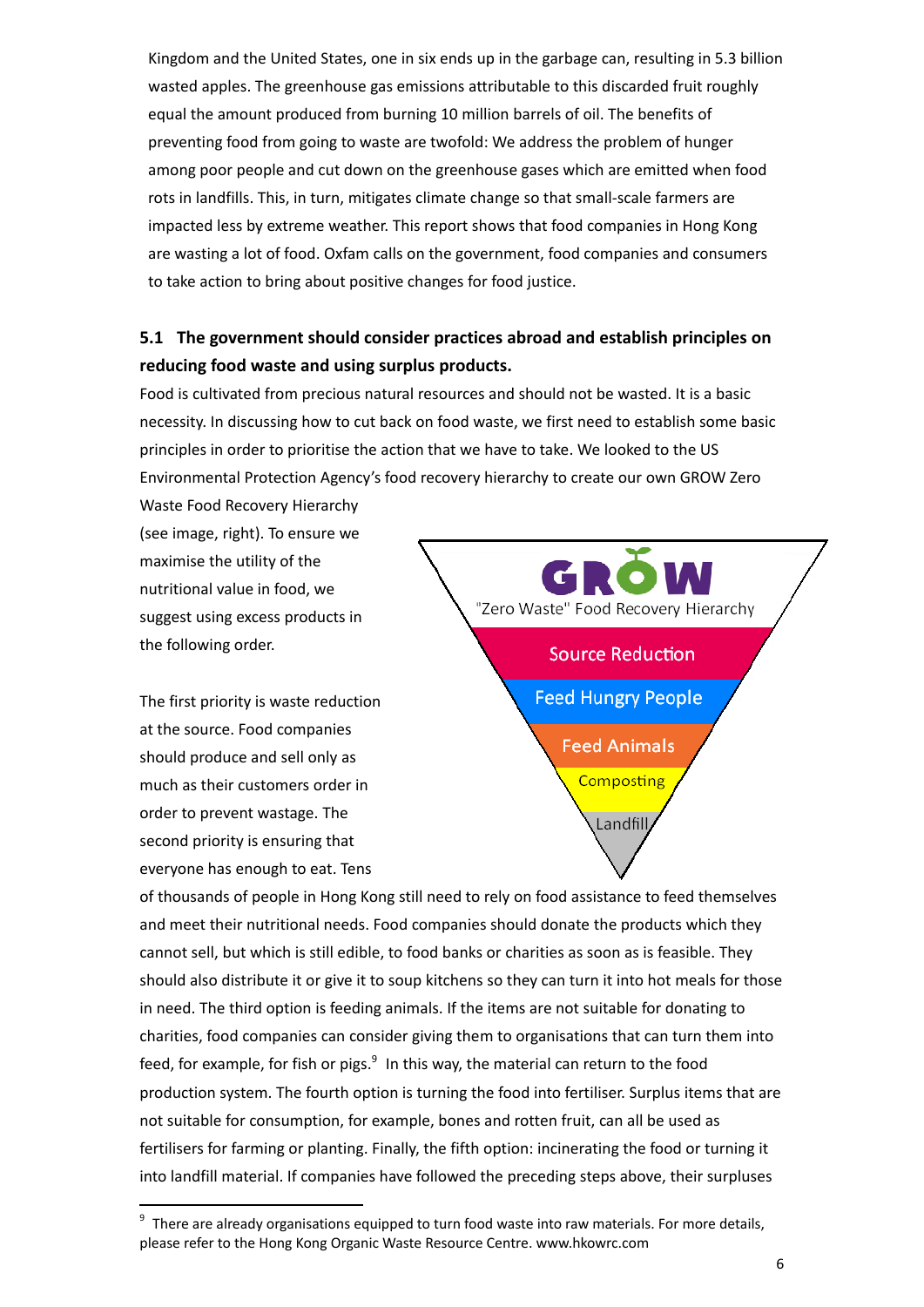Kingdom and the United States, one in six ends up in the garbage can, resulting in 5.3 billion wasted apples. The greenhouse gas emissions attributable to this discarded fruit roughly equal the amount produced from burning 10 million barrels of oil. The benefits of preventing food from going to waste are twofold: We address the problem of hunger among poor people and cut down on the greenhouse gases which are emitted when food rots in landfills. This, in turn, mitigates climate change so that small-scale farmers are impacted less by extreme weather. This report shows that food companies in Hong Kong are wasting a lot of food. Oxfam calls on the government, food companies and consumers to take action to bring about positive changes for food justice.

## **5.1 The government should consider practices abroad and establish principles on reducing food waste and using surplus products.**

Food is cultivated from precious natural resources and should not be wasted. It is a basic necessity. In discussing how to cut back on food waste, we first need to establish some basic principles in order to prioritise the action that we have to take. We looked to the US Environmental Protection Agency's food recovery hierarchy to create our own GROW Zero

Waste Food Recovery Hierarchy (see image, right). To ensure we maximise the utility of the nutritional value in food, we suggest using excess products in the following order.

The first priority is waste reduction at the source. Food companies should produce and sell only as much as their customers order in order to prevent wastage. The second priority is ensuring that everyone has enough to eat. Tens

-



of thousands of people in Hong Kong still need to rely on food assistance to feed themselves and meet their nutritional needs. Food companies should donate the products which they cannot sell, but which is still edible, to food banks or charities as soon as is feasible. They should also distribute it or give it to soup kitchens so they can turn it into hot meals for those in need. The third option is feeding animals. If the items are not suitable for donating to charities, food companies can consider giving them to organisations that can turn them into feed, for example, for fish or pigs.<sup>9</sup> In this way, the material can return to the food production system. The fourth option is turning the food into fertiliser. Surplus items that are not suitable for consumption, for example, bones and rotten fruit, can all be used as fertilisers for farming or planting. Finally, the fifth option: incinerating the food or turning it into landfill material. If companies have followed the preceding steps above, their surpluses

 $9$  There are already organisations equipped to turn food waste into raw materials. For more details, please refer to the Hong Kong Organic Waste Resource Centre. www.hkowrc.com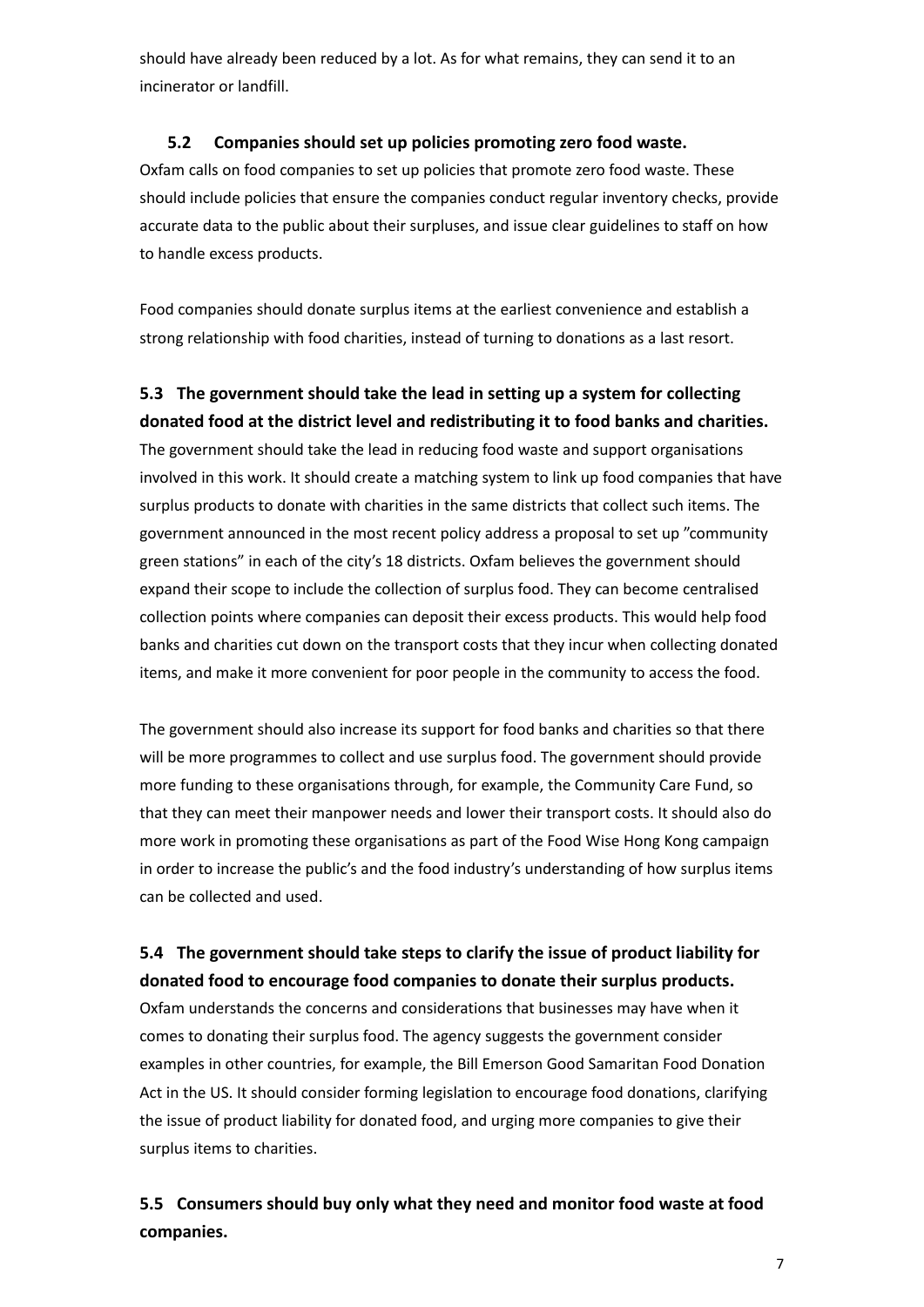should have already been reduced by a lot. As for what remains, they can send it to an incinerator or landfill.

#### **5.2 Companies should set up policies promoting zero food waste.**

Oxfam calls on food companies to set up policies that promote zero food waste. These should include policies that ensure the companies conduct regular inventory checks, provide accurate data to the public about their surpluses, and issue clear guidelines to staff on how to handle excess products.

Food companies should donate surplus items at the earliest convenience and establish a strong relationship with food charities, instead of turning to donations as a last resort.

### **5.3 The government should take the lead in setting up a system for collecting donated food at the district level and redistributing it to food banks and charities.**

The government should take the lead in reducing food waste and support organisations involved in this work. It should create a matching system to link up food companies that have surplus products to donate with charities in the same districts that collect such items. The government announced in the most recent policy address a proposal to set up "community green stations" in each of the city's 18 districts. Oxfam believes the government should expand their scope to include the collection of surplus food. They can become centralised collection points where companies can deposit their excess products. This would help food banks and charities cut down on the transport costs that they incur when collecting donated items, and make it more convenient for poor people in the community to access the food.

The government should also increase its support for food banks and charities so that there will be more programmes to collect and use surplus food. The government should provide more funding to these organisations through, for example, the Community Care Fund, so that they can meet their manpower needs and lower their transport costs. It should also do more work in promoting these organisations as part of the Food Wise Hong Kong campaign in order to increase the public's and the food industry's understanding of how surplus items can be collected and used.

### **5.4 The government should take steps to clarify the issue of product liability for donated food to encourage food companies to donate their surplus products.**

Oxfam understands the concerns and considerations that businesses may have when it comes to donating their surplus food. The agency suggests the government consider examples in other countries, for example, the Bill Emerson Good Samaritan Food Donation Act in the US. It should consider forming legislation to encourage food donations, clarifying the issue of product liability for donated food, and urging more companies to give their surplus items to charities.

### **5.5 Consumers should buy only what they need and monitor food waste at food companies.**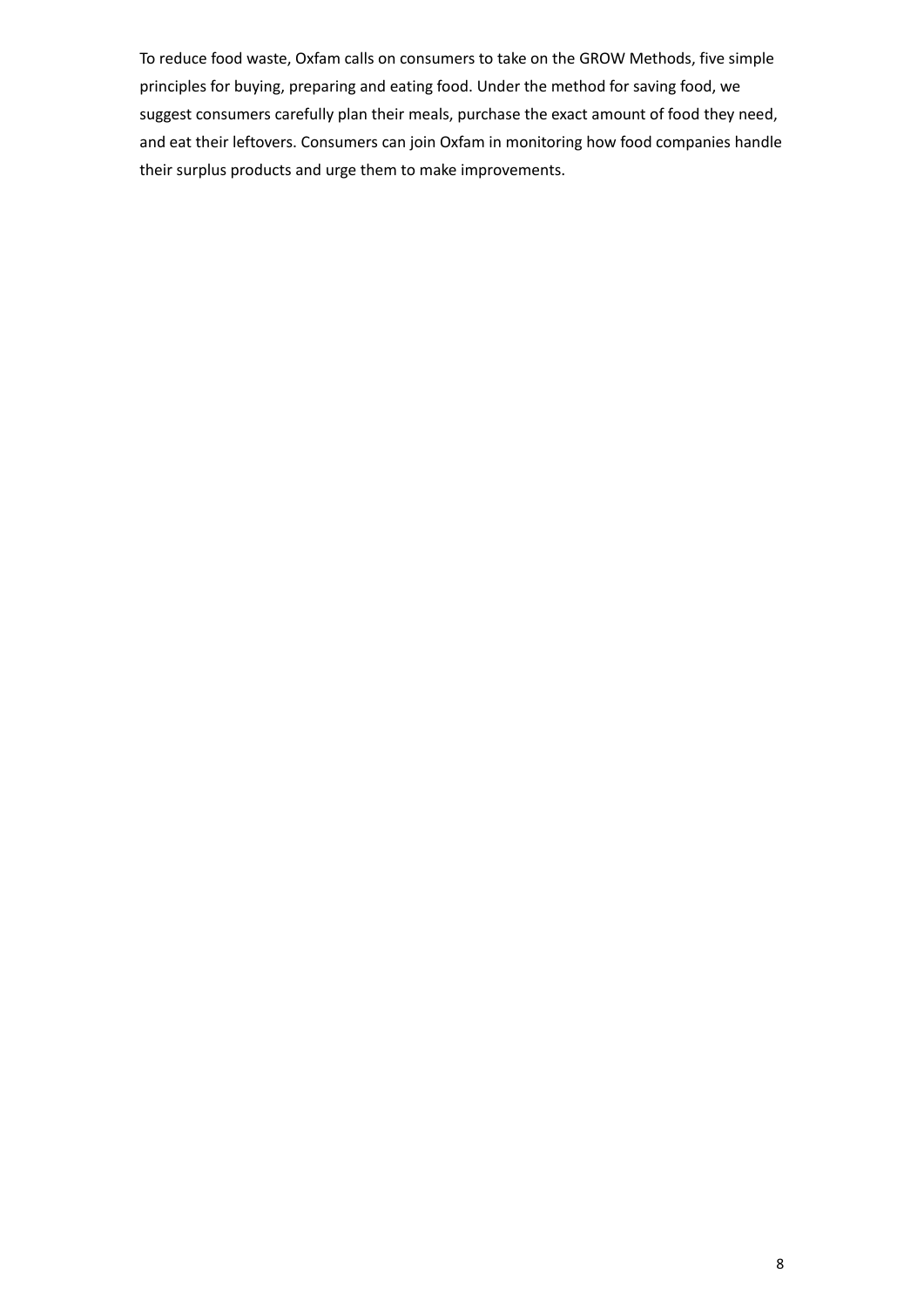To reduce food waste, Oxfam calls on consumers to take on the GROW Methods, five simple principles for buying, preparing and eating food. Under the method for saving food, we suggest consumers carefully plan their meals, purchase the exact amount of food they need, and eat their leftovers. Consumers can join Oxfam in monitoring how food companies handle their surplus products and urge them to make improvements.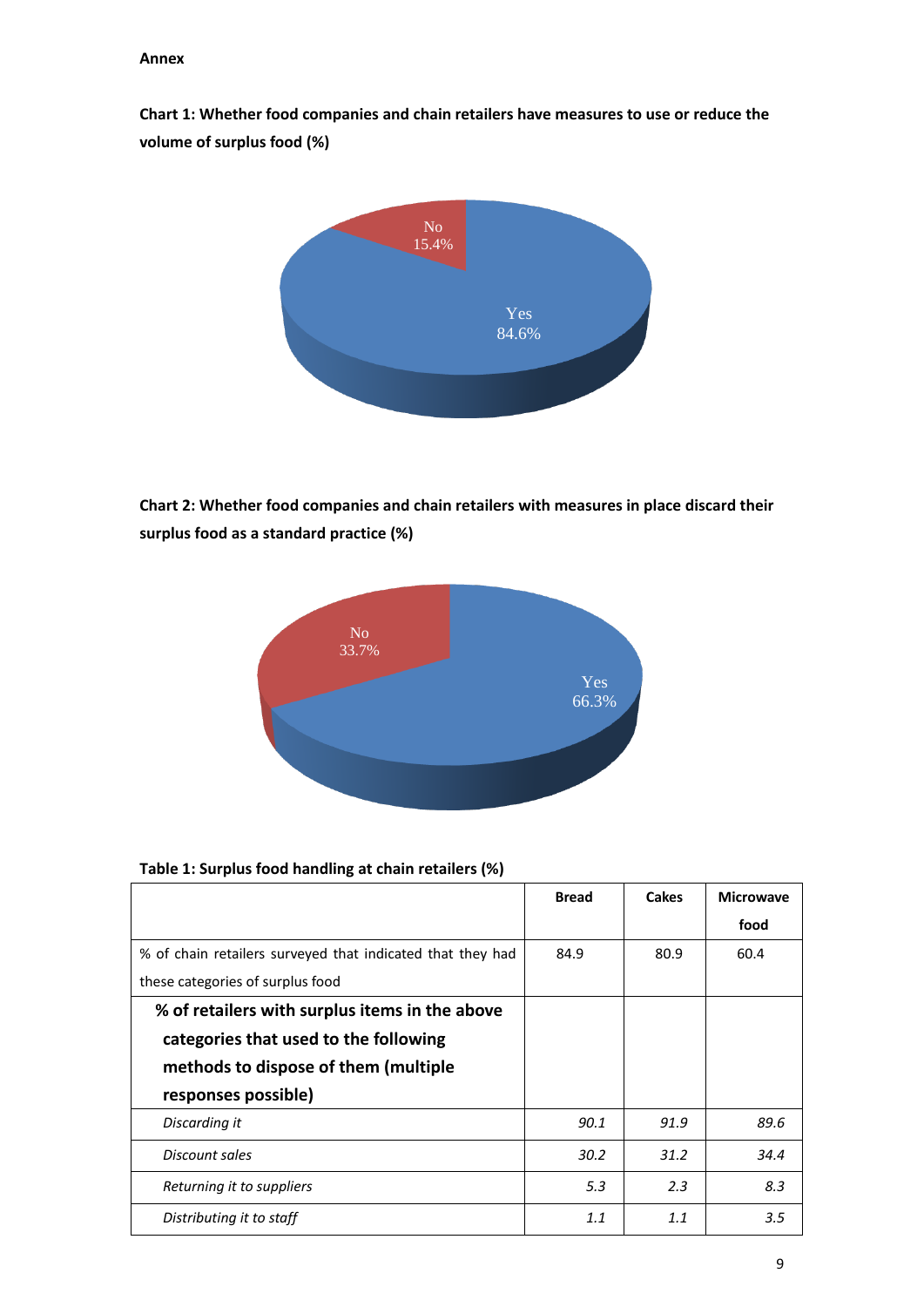**Chart 1: Whether food companies and chain retailers have measures to use or reduce the volume of surplus food (%)** 



**Chart 2: Whether food companies and chain retailers with measures in place discard their surplus food as a standard practice (%)**



#### **Table 1: Surplus food handling at chain retailers (%)**

|                                                            | <b>Bread</b> | <b>Cakes</b> | <b>Microwave</b> |
|------------------------------------------------------------|--------------|--------------|------------------|
|                                                            |              |              | food             |
| % of chain retailers surveyed that indicated that they had | 84.9         | 80.9         | 60.4             |
| these categories of surplus food                           |              |              |                  |
| % of retailers with surplus items in the above             |              |              |                  |
| categories that used to the following                      |              |              |                  |
| methods to dispose of them (multiple                       |              |              |                  |
| responses possible)                                        |              |              |                  |
| Discarding it                                              | 90.1         | 91.9         | 89.6             |
| Discount sales                                             | 30.2         | 31.2         | 34.4             |
| Returning it to suppliers                                  | 5.3          | 2.3          | 8.3              |
| Distributing it to staff                                   | 1.1          | 1.1          | 3.5              |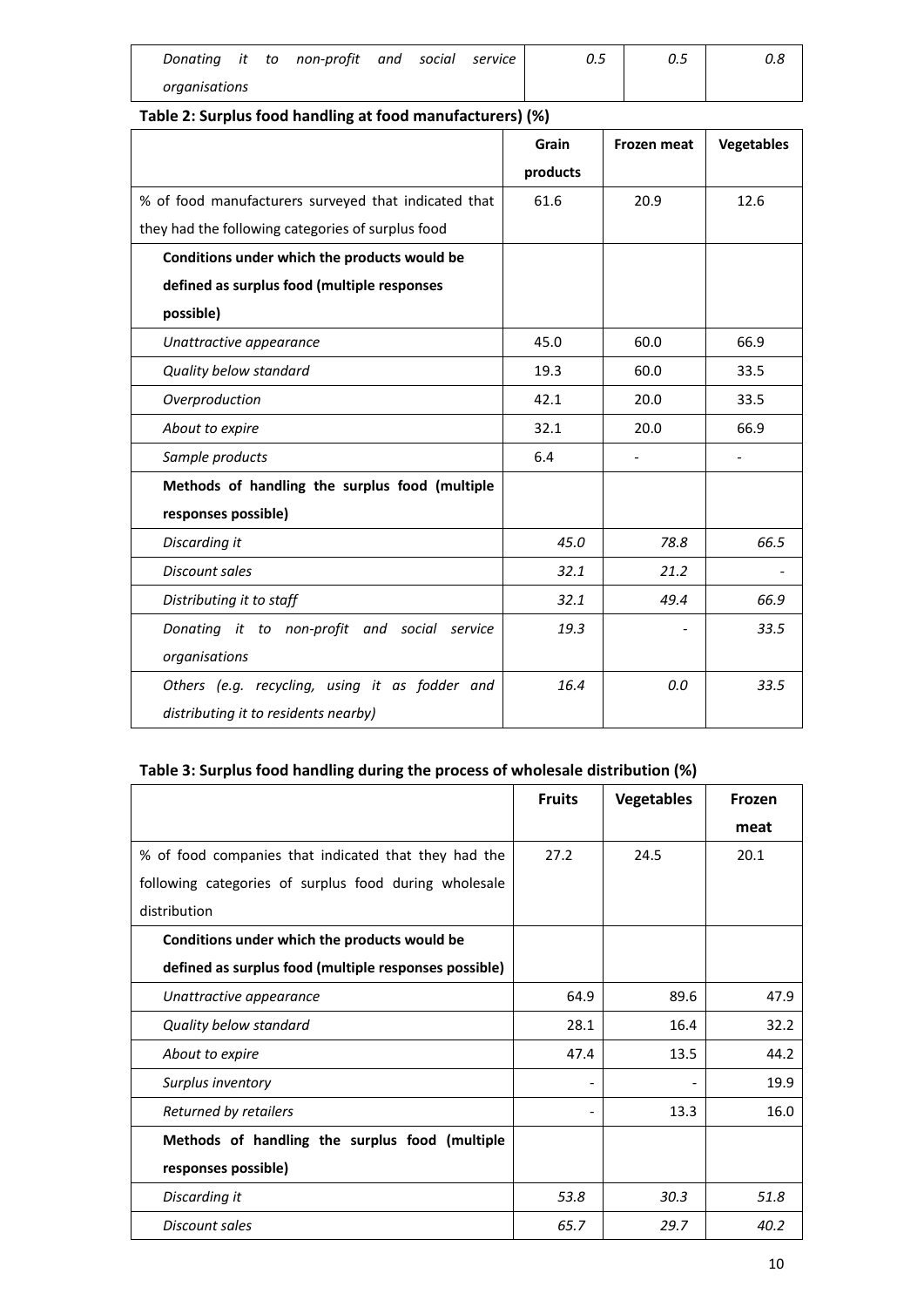|               |  | Donating it to non-profit and social service |  | 0.5 | 0.5 | 0.8 |
|---------------|--|----------------------------------------------|--|-----|-----|-----|
| organisations |  |                                              |  |     |     |     |

### **Table 2: Surplus food handling at food manufacturers) (%)**

|                                                      | Grain    | <b>Frozen meat</b> | <b>Vegetables</b> |
|------------------------------------------------------|----------|--------------------|-------------------|
|                                                      | products |                    |                   |
| % of food manufacturers surveyed that indicated that | 61.6     | 20.9               | 12.6              |
| they had the following categories of surplus food    |          |                    |                   |
| Conditions under which the products would be         |          |                    |                   |
| defined as surplus food (multiple responses          |          |                    |                   |
| possible)                                            |          |                    |                   |
| Unattractive appearance                              | 45.0     | 60.0               | 66.9              |
| Quality below standard                               | 19.3     | 60.0               | 33.5              |
| Overproduction                                       | 42.1     | 20.0               | 33.5              |
| About to expire                                      | 32.1     | 20.0               | 66.9              |
| Sample products                                      | 6.4      |                    |                   |
| Methods of handling the surplus food (multiple       |          |                    |                   |
| responses possible)                                  |          |                    |                   |
| Discarding it                                        | 45.0     | 78.8               | 66.5              |
| Discount sales                                       | 32.1     | 21.2               |                   |
| Distributing it to staff                             | 32.1     | 49.4               | 66.9              |
| Donating it to non-profit and social service         | 19.3     |                    | 33.5              |
| organisations                                        |          |                    |                   |
| Others (e.g. recycling, using it as fodder and       | 16.4     | 0.0                | 33.5              |
| distributing it to residents nearby)                 |          |                    |                   |

### **Table 3: Surplus food handling during the process of wholesale distribution (%)**

|                                                       | <b>Fruits</b> | <b>Vegetables</b> | Frozen |
|-------------------------------------------------------|---------------|-------------------|--------|
|                                                       |               |                   | meat   |
| % of food companies that indicated that they had the  | 27.2          | 24.5              | 20.1   |
| following categories of surplus food during wholesale |               |                   |        |
| distribution                                          |               |                   |        |
| Conditions under which the products would be          |               |                   |        |
| defined as surplus food (multiple responses possible) |               |                   |        |
| Unattractive appearance                               | 64.9          | 89.6              | 47.9   |
| Quality below standard                                | 28.1          | 16.4              | 32.2   |
| About to expire                                       | 47.4          | 13.5              | 44.2   |
| Surplus inventory                                     |               |                   | 19.9   |
| Returned by retailers                                 |               | 13.3              | 16.0   |
| Methods of handling the surplus food (multiple        |               |                   |        |
| responses possible)                                   |               |                   |        |
| Discarding it                                         | 53.8          | 30.3              | 51.8   |
| Discount sales                                        | 65.7          | 29.7              | 40.2   |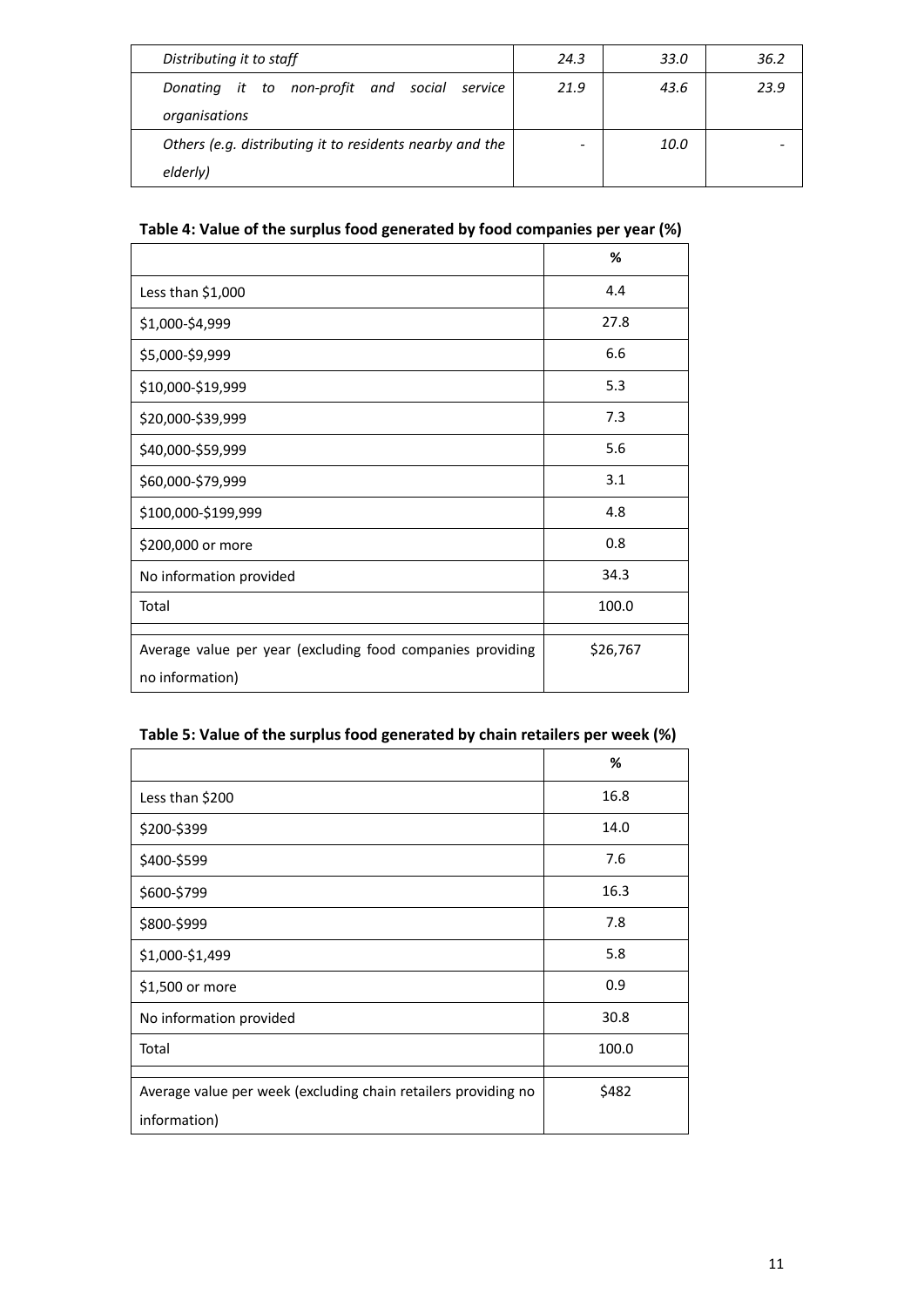| Distributing it to staff                                 | 24.3 | 33.0 | 36.2 |
|----------------------------------------------------------|------|------|------|
| Donating it to non-profit and social service             | 21.9 | 43.6 | 23.9 |
| organisations                                            |      |      |      |
| Others (e.g. distributing it to residents nearby and the |      | 10.0 |      |
| elderly)                                                 |      |      |      |

### **Table 4: Value of the surplus food generated by food companies per year (%)**

|                                                                               | %        |
|-------------------------------------------------------------------------------|----------|
| Less than \$1,000                                                             | 4.4      |
| \$1,000-\$4,999                                                               | 27.8     |
| \$5,000-\$9,999                                                               | 6.6      |
| \$10,000-\$19,999                                                             | 5.3      |
| \$20,000-\$39,999                                                             | 7.3      |
| \$40,000-\$59,999                                                             | 5.6      |
| \$60,000-\$79,999                                                             | 3.1      |
| \$100,000-\$199,999                                                           | 4.8      |
| \$200,000 or more                                                             | 0.8      |
| No information provided                                                       | 34.3     |
| Total                                                                         | 100.0    |
| Average value per year (excluding food companies providing<br>no information) | \$26,767 |

### **Table 5: Value of the surplus food generated by chain retailers per week (%)**

|                                                                                | %     |
|--------------------------------------------------------------------------------|-------|
| Less than \$200                                                                | 16.8  |
| \$200-\$399                                                                    | 14.0  |
| \$400-\$599                                                                    | 7.6   |
| \$600-\$799                                                                    | 16.3  |
| \$800-\$999                                                                    | 7.8   |
| \$1,000-\$1,499                                                                | 5.8   |
| \$1,500 or more                                                                | 0.9   |
| No information provided                                                        | 30.8  |
| Total                                                                          | 100.0 |
| Average value per week (excluding chain retailers providing no<br>information) | \$482 |